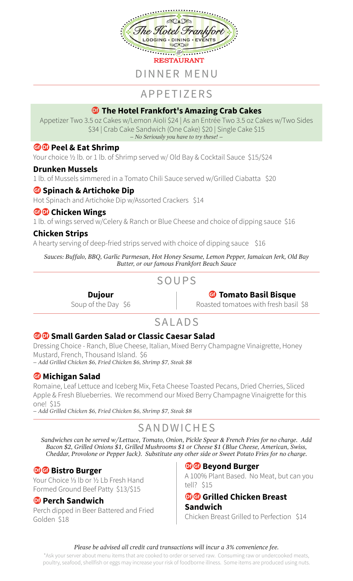

# APPETIZERS

# **<b>***M* The Hotel Frankfort's Amazing Crab Cakes

Appetizer Two 3.5 oz Cakes w/Lemon Aioli \$24 | As an Entrée Two 3.5 oz Cakes w/Two Sides \$34 | Crab Cake Sandwich (One Cake) \$20 | Single Cake \$15 *– No Seriously you have to try these! –*

## **B**<sup>O</sup> Peel & Eat Shrimp

Your choice ½ lb. or 1 lb. of Shrimp served w/ Old Bay & Cocktail Sauce \$15/\$24

## **Drunken Mussels**

1 lb. of Mussels simmered in a Tomato Chili Sauce served w/Grilled Ciabatta \$20

## *G* Spinach & Artichoke Dip

Hot Spinach and Artichoke Dip w/Assorted Crackers \$14

## **GO** Chicken Wings

1 lb. of wings served w/Celery & Ranch or Blue Cheese and choice of dipping sauce \$16

## **Chicken Strips**

A hearty serving of deep-fried strips served with choice of dipping sauce \$16

*Sauces: Buffalo, BBQ, Garlic Parmesan, Hot Honey Sesame, Lemon Pepper, Jamaican Jerk, Old Bay Butter, or our famous Frankfort Beach Sauce*

# SOUPS

# **G** Tomato Basil Bisque

Roasted tomatoes with fresh basil \$8

# SALADS

## **GO** Small Garden Salad or Classic Caesar Salad

**Dujour** Soup of the Day \$6

Dressing Choice - Ranch, Blue Cheese, Italian, Mixed Berry Champagne Vinaigrette, Honey Mustard, French, Thousand Island. \$6 *– Add Grilled Chicken \$6, Fried Chicken \$6, Shrimp \$7, Steak \$8*

## *G* Michigan Salad

Romaine, Leaf Lettuce and Iceberg Mix, Feta Cheese Toasted Pecans, Dried Cherries, Sliced Apple & Fresh Blueberries. We recommend our Mixed Berry Champagne Vinaigrette for this one! \$15

*– Add Grilled Chicken \$6, Fried Chicken \$6, Shrimp \$7, Steak \$8*

# SANDWICHES

*Sandwiches can be served w/Lettuce, Tomato, Onion, Pickle Spear & French Fries for no charge. Add Bacon \$2, Grilled Onions \$1, Grilled Mushrooms \$1 or Cheese \$1 (Blue Cheese, American, Swiss, Cheddar, Provolone or Pepper Jack). Substitute any other side or Sweet Potato Fries for no charge.*

## **D**G Bistro Burger

Your Choice ⅓ lb or ½ Lb Fresh Hand Formed Ground Beef Patty \$13/\$15

## **DPerch Sandwich**

Perch dipped in Beer Battered and Fried Golden \$18

## **D**<sup>G</sup> Beyond Burger

A 100% Plant Based. No Meat, but can you tell? \$15

### **D**G Grilled Chicken Breast **Sandwich**

Chicken Breast Grilled to Perfection \$14

#### *Please be advised all credit card transactions will incur a 3% convenience fee.*

\*Ask your server about menu items that are cooked to order or served raw. Consuming raw or undercooked meats, poultry, seafood, shellfish or eggs may increase your risk of foodborne illness. Some items are produced using nuts.